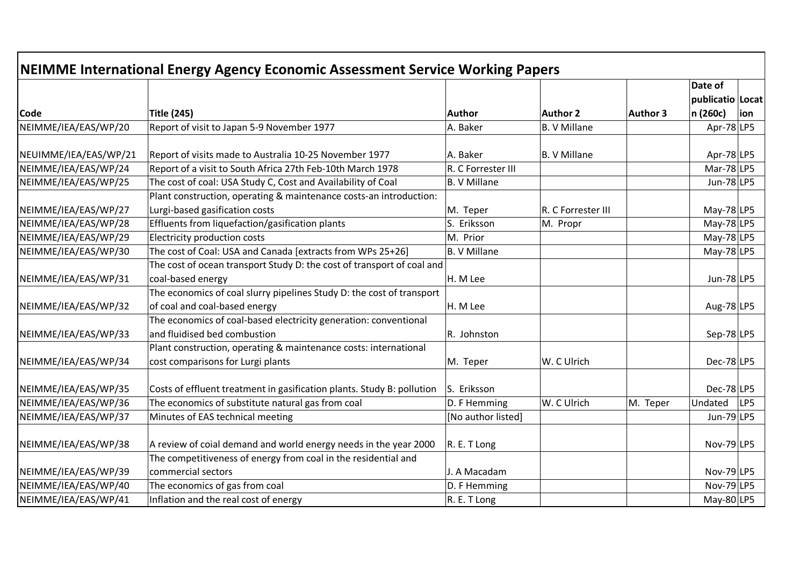| NEIMME International Energy Agency Economic Assessment Service Working Papers |                                                                        |                     |                     |          |                             |     |  |
|-------------------------------------------------------------------------------|------------------------------------------------------------------------|---------------------|---------------------|----------|-----------------------------|-----|--|
|                                                                               |                                                                        |                     |                     |          | Date of<br>publicatio Locat |     |  |
| <b>Code</b>                                                                   | <b>Title (245)</b>                                                     | Author              | <b>Author 2</b>     | Author 3 | n (260c)                    | ion |  |
| NEIMME/IEA/EAS/WP/20                                                          | Report of visit to Japan 5-9 November 1977                             | A. Baker            | <b>B. V Millane</b> |          | Apr-78 LP5                  |     |  |
| NEUIMME/IEA/EAS/WP/21                                                         | Report of visits made to Australia 10-25 November 1977                 | A. Baker            | B. V Millane        |          | Apr-78 LP5                  |     |  |
| NEIMME/IEA/EAS/WP/24                                                          | Report of a visit to South Africa 27th Feb-10th March 1978             | R. C Forrester III  |                     |          | $Mar-78$ LP5                |     |  |
| NEIMME/IEA/EAS/WP/25                                                          | The cost of coal: USA Study C, Cost and Availability of Coal           | <b>B. V Millane</b> |                     |          | Jun-78 $ LP5 $              |     |  |
|                                                                               | Plant construction, operating & maintenance costs-an introduction:     |                     |                     |          |                             |     |  |
| NEIMME/IEA/EAS/WP/27                                                          | Lurgi-based gasification costs                                         | M. Teper            | R. C Forrester III  |          | $May-78 LP5$                |     |  |
| NEIMME/IEA/EAS/WP/28                                                          | Effluents from liquefaction/gasification plants                        | S. Eriksson         | M. Propr            |          | $May-78 LP5$                |     |  |
| NEIMME/IEA/EAS/WP/29                                                          | Electricity production costs                                           | M. Prior            |                     |          | May-78 $ LP5$               |     |  |
| NEIMME/IEA/EAS/WP/30                                                          | The cost of Coal: USA and Canada [extracts from WPs 25+26]             | B. V Millane        |                     |          | May-78 $ LP5$               |     |  |
|                                                                               | The cost of ocean transport Study D: the cost of transport of coal and |                     |                     |          |                             |     |  |
| NEIMME/IEA/EAS/WP/31                                                          | coal-based energy                                                      | H. M Lee            |                     |          | Jun-78 $ LP5 $              |     |  |
|                                                                               | The economics of coal slurry pipelines Study D: the cost of transport  |                     |                     |          |                             |     |  |
| NEIMME/IEA/EAS/WP/32                                                          | of coal and coal-based energy                                          | H. M Lee            |                     |          | Aug-78 LP5                  |     |  |
|                                                                               | The economics of coal-based electricity generation: conventional       |                     |                     |          |                             |     |  |
| NEIMME/IEA/EAS/WP/33                                                          | and fluidised bed combustion                                           | R. Johnston         |                     |          | $Sep-78 LP5$                |     |  |
|                                                                               | Plant construction, operating & maintenance costs: international       |                     |                     |          |                             |     |  |
| NEIMME/IEA/EAS/WP/34                                                          | cost comparisons for Lurgi plants                                      | M. Teper            | W. C Ulrich         |          | $Dec-78$ LP5                |     |  |
| NEIMME/IEA/EAS/WP/35                                                          | Costs of effluent treatment in gasification plants. Study B: pollution | S. Eriksson         |                     |          | $Dec-78$ LP5                |     |  |
| NEIMME/IEA/EAS/WP/36                                                          | The economics of substitute natural gas from coal                      | D. F Hemming        | W. C Ulrich         | M. Teper | Undated                     | LP5 |  |
| NEIMME/IEA/EAS/WP/37                                                          | Minutes of EAS technical meeting                                       | [No author listed]  |                     |          | Jun-79 LP5                  |     |  |
| NEIMME/IEA/EAS/WP/38                                                          | A review of coial demand and world energy needs in the year 2000       | R. E. T Long        |                     |          | Nov-79 LP5                  |     |  |
|                                                                               | The competitiveness of energy from coal in the residential and         |                     |                     |          |                             |     |  |
| NEIMME/IEA/EAS/WP/39                                                          | commercial sectors                                                     | J. A Macadam        |                     |          | Nov-79 $ LP5$               |     |  |
| NEIMME/IEA/EAS/WP/40                                                          | The economics of gas from coal                                         | D. F Hemming        |                     |          | Nov-79 $ LP5$               |     |  |
| NEIMME/IEA/EAS/WP/41                                                          | Inflation and the real cost of energy                                  | R. E. T Long        |                     |          | May-80 $ LP5$               |     |  |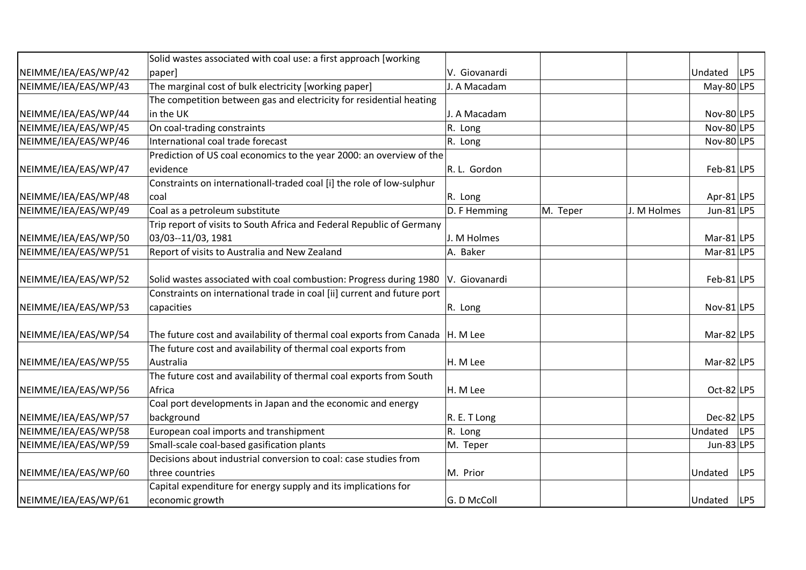|                      | Solid wastes associated with coal use: a first approach [working        |               |          |             |               |     |
|----------------------|-------------------------------------------------------------------------|---------------|----------|-------------|---------------|-----|
| NEIMME/IEA/EAS/WP/42 | paper]                                                                  | V. Giovanardi |          |             | Undated       | LP5 |
| NEIMME/IEA/EAS/WP/43 | The marginal cost of bulk electricity [working paper]                   | J. A Macadam  |          |             | $May-80 LP5$  |     |
|                      | The competition between gas and electricity for residential heating     |               |          |             |               |     |
| NEIMME/IEA/EAS/WP/44 | in the UK                                                               | J. A Macadam  |          |             | Nov-80 LP5    |     |
| NEIMME/IEA/EAS/WP/45 | On coal-trading constraints                                             | R. Long       |          |             | Nov-80 LP5    |     |
| NEIMME/IEA/EAS/WP/46 | International coal trade forecast                                       | R. Long       |          |             | Nov-80 $ LP5$ |     |
|                      | Prediction of US coal economics to the year 2000: an overview of the    |               |          |             |               |     |
| NEIMME/IEA/EAS/WP/47 | levidence                                                               | R. L. Gordon  |          |             | $Feb-81$  LP5 |     |
|                      | Constraints on internationall-traded coal [i] the role of low-sulphur   |               |          |             |               |     |
| NEIMME/IEA/EAS/WP/48 | coal                                                                    | R. Long       |          |             | Apr-81 LP5    |     |
| NEIMME/IEA/EAS/WP/49 | Coal as a petroleum substitute                                          | D. F Hemming  | M. Teper | J. M Holmes | Jun-81 $ LP5$ |     |
|                      | Trip report of visits to South Africa and Federal Republic of Germany   |               |          |             |               |     |
| NEIMME/IEA/EAS/WP/50 | 03/03--11/03, 1981                                                      | J. M Holmes   |          |             | Mar-81 $ LP5$ |     |
| NEIMME/IEA/EAS/WP/51 | Report of visits to Australia and New Zealand                           | A. Baker      |          |             | Mar-81 $ LP5$ |     |
|                      |                                                                         |               |          |             |               |     |
| NEIMME/IEA/EAS/WP/52 | Solid wastes associated with coal combustion: Progress during 1980      | V. Giovanardi |          |             | $Feb-81$  LP5 |     |
|                      | Constraints on international trade in coal [ii] current and future port |               |          |             |               |     |
| NEIMME/IEA/EAS/WP/53 | capacities                                                              | R. Long       |          |             | Nov-81 $LP5$  |     |
| NEIMME/IEA/EAS/WP/54 | The future cost and availability of thermal coal exports from Canada    | H. M Lee      |          |             | Mar-82 $ LP5$ |     |
|                      | The future cost and availability of thermal coal exports from           |               |          |             |               |     |
| NEIMME/IEA/EAS/WP/55 | Australia                                                               | H. M Lee      |          |             | Mar-82 $ LP5$ |     |
|                      | The future cost and availability of thermal coal exports from South     |               |          |             |               |     |
| NEIMME/IEA/EAS/WP/56 | Africa                                                                  | H. M Lee      |          |             | Oct-82 $LP5$  |     |
|                      | Coal port developments in Japan and the economic and energy             |               |          |             |               |     |
| NEIMME/IEA/EAS/WP/57 | background                                                              | R. E. T Long  |          |             | $Dec-82$  LP5 |     |
| NEIMME/IEA/EAS/WP/58 | European coal imports and transhipment                                  | R. Long       |          |             | Undated       | LP5 |
| NEIMME/IEA/EAS/WP/59 | Small-scale coal-based gasification plants                              | M. Teper      |          |             | Jun-83 $LP5$  |     |
|                      | Decisions about industrial conversion to coal: case studies from        |               |          |             |               |     |
| NEIMME/IEA/EAS/WP/60 | three countries                                                         | M. Prior      |          |             | Undated       | LP5 |
|                      | Capital expenditure for energy supply and its implications for          |               |          |             |               |     |
| NEIMME/IEA/EAS/WP/61 | economic growth                                                         | G. D McColl   |          |             | Undated       | LP5 |